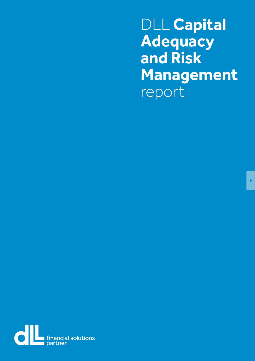<span id="page-0-0"></span>DLL **Capital Adequacy and Risk Management** report

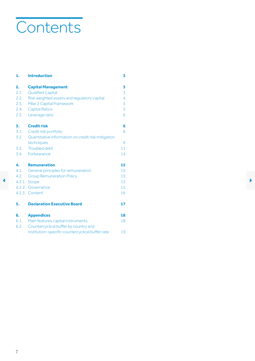# <span id="page-1-1"></span><span id="page-1-0"></span>**Contents**

| 1.   | <b>Introduction</b>                                | 3  |  |
|------|----------------------------------------------------|----|--|
| 2.   | <b>Capital Management</b>                          | 3  |  |
| 2.1. | <b>Qualified Capital</b>                           | 3  |  |
| 2.2. | Risk weighted assets and regulatory capital        | 4  |  |
| 2.3. | Pillar 2 Capital Framework                         | 5  |  |
| 2.4. | <b>Capital Ratios</b>                              | 5  |  |
| 2.5. | Leverage ratio                                     | 6  |  |
| 3.   | <b>Credit risk</b>                                 | 6  |  |
| 3.1. | Credit risk portfolio                              | 6  |  |
| 3.2. | Quantitative information on credit risk mitigation |    |  |
|      | techniques                                         | 9  |  |
| 3.3. | Troubled debt                                      | 11 |  |
| 3.4. | Forbearance                                        | 14 |  |
| 4.   | <b>Remuneration</b>                                | 15 |  |
| 4.1. | General principles for remuneration                | 15 |  |
| 4.2. | <b>Group Remuneration Policy</b>                   | 15 |  |
|      | 4.2.1. Scope                                       | 15 |  |
|      | 4.2.2. Governance                                  | 15 |  |
|      | 4.2.3. Content                                     | 16 |  |
| 5.   | <b>Declaration Executive Board</b>                 | 17 |  |
| 6.   | <b>Appendices</b>                                  | 18 |  |
| 6.1. | Main features capital instruments                  | 18 |  |
| 6.2. | Countercyclical buffer by country and              |    |  |
|      | institution-specific countercyclical buffer rate   | 19 |  |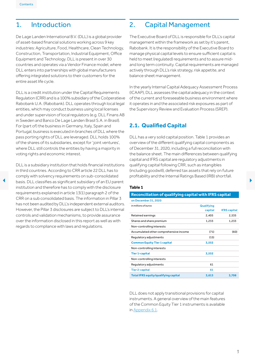# <span id="page-2-0"></span>1. Introduction

De Lage Landen International B.V. (DLL) is a global provider of asset-based financial solutions working across 9 key industries: Agriculture, Food, Healthcare, Clean Technology, Construction, Transportation, Industrial Equipment, Office Equipment and Technology. DLL is present in over 30 countries and operates via a Vendor Finance model, where DLL enters into partnerships with global manufacturers offering integrated solutions to their customers for the entire asset life cycle.

DLL is a credit institution under the Capital Requirements Regulation (CRR) and is a 100% subsidiary of the Coöperatieve Rabobank U.A. (Rabobank). DLL operates through local legal entities, which may conduct business using local licenses and under supervision of local regulators (e.g. DLL Finans AB in Sweden and Banco De Lage Landen Brasil S.A. in Brasil). For (part of) the business in Germany, Italy, Spain and Portugal, business is executed in branches of DLL where the pass porting rights of DLL are leveraged. DLL holds 100% of the shares of its subsidiaries, except for ' joint ventures', where DLL still controls the entities by having a majority in voting rights and economic interest.

DLL is a subsidiary institution that holds financial institutions in third countries. According to CRR article 22 DLL has to comply with solvency requirements on sub-consolidated declines the basis. DLL classifies as significant subsidiary of an EU parent and the state of the state of the state of the state of the state of the state of the state of the state of the state of the state of the state o institution and therefore has to comply with the disclosure requirements explained in article 13(1) paragraph 2 of the CRR on a sub consolidated basis. The information in Pillar 3 has not been audited by DLL's independent external auditors. However, the Pillar 3 disclosures are subject to DLL's internal controls and validation mechanisms, to provide assurance over the information disclosed in this report as well as with regards to compliance with laws and regulations.

# 2. Capital Management

The Executive Board of DLL is responsible for DLL's capital management within the framework as set by it's parent, Rabobank. It is the responsibility of the Executive Board to manage physical capital levels to ensure sufficient capital is held to meet (regulated) requirements and to assure midand long term continuity. Capital requirements are managed actively through DLL's risk strategy, risk appetite, and balance sheet management.

In the yearly Internal Capital Adequacy Assessment Process (ICAAP), DLL assesses the capital adequacy in the context of the current and foreseeable business environment where it operates in and the associated risk exposures as part of the Supervisory Review and Evaluation Process (SREP).

# **2.1. Qualified Capital**

DLL has a very solid capital position. Table 1 provides an overview of the different qualifying capital components as of December 31, 2020, including a full reconciliation with the balance sheet. The main differences between qualifying capital and IFRS capital are regulatory adjustments in qualifying capital following CRR, such as intangibles (including goodwill), deferred tax assets that rely on future profitability and the Internal Ratings Based (IRB) shortfall.

#### **Table 1**

# **Reconciliation of qualifying capital with IFRS capital**

| on December 31, 2020                        |            |                     |
|---------------------------------------------|------------|---------------------|
| in millions of euros                        | Qualifying |                     |
|                                             | capital    | <b>IFRS</b> capital |
| Retained earnings                           | 2,405      | 2,535               |
| Shares and share premium                    | 1,233      | 1,233               |
| Non-controlling interests                   |            |                     |
| Accumulated other comprehensive income      | (71)       | (60)                |
| Regulatory adjustments                      | (15)       |                     |
| <b>Common Equity Tier 1 capital</b>         | 3,552      |                     |
| Non-controlling interests                   |            |                     |
| <b>Tier 1-capital</b>                       | 3,552      |                     |
| Non-controlling interests                   |            |                     |
| Requlatory adjustments                      | 61         |                     |
| <b>Tier 2-capital</b>                       | 61         |                     |
| <b>Total IFRS equity/qualifying capital</b> | 3,613      | 3,708               |

DLL does not apply transitional provisions for capital instruments. A general overview of the main features of the Common Equity Tier 1 instruments is available in [Appendix 6.1](#page-17-1).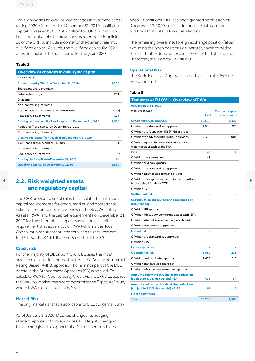<span id="page-3-0"></span>Table 2 provides an overview of changes in qualifying capital during 2020. Compared to December 31, 2019, qualifying capital increased by EUR 307 million to EUR 3,613 million. DLL does not apply the provisions as referred to in article 26 of the CRR to include income for the current year into qualifying capital. As such, the qualifying capital for 2020, does not include the net income for the year 2020.

#### **Table 2**

| Overview of changes in qualifying capital                 |       |
|-----------------------------------------------------------|-------|
| in millions of euros                                      |       |
| <b>Common equity Tier 1 on December 31, 2019</b>          | 3,302 |
| Shares and share premium                                  |       |
| Retained earnings                                         | 264   |
| Dividend                                                  |       |
| Non-controlling interests                                 |       |
| Accumulated other comprehensive income                    | (153) |
| Regulatory adjustments                                    | 139   |
| Closing common equity Tier 1 capital on December 31, 2020 | 3,552 |
|                                                           |       |
| Additional Tier 1 capital on December 31, 2019            |       |
| Non-controlling interests                                 |       |
| Closing additional Tier 1 capital on December 31, 2020    |       |
| Tier 2 capital on December 31, 2019                       | 4     |
| Non-controlling interests                                 |       |
| Regulatory adjustments                                    | 57    |
| Closing tier 2 capital on December 31, 2020               | 61    |

#### **Credit risk**

#### **Market Risk**

The only market risk that is applicable for DLL concerns FX risk.

As of January 1, 2020, DLL has changed its hedging strategy approach from absolute CET1 (equity) hedging to ratio hedging. To support this, DLL deliberately takes open FX positions. DLL has been granted permission on December 17, 2020, to exclude these structural open positions from Pillar 1 RWA calculations.

The remaining overall net foreign exchange position (after excluding the open positions deliberately taken to hedge the CET1 ratio) does not exceed 2% of DLL's Total Capital. Therefore, the RWA for FX risk is 0.

#### **Operational Risk**

The Basic Indicator Approach is used to calculate RWA for operational risk.

#### <span id="page-3-1"></span>**Table 3**

| Dividend                                                                                        |                | Template 4: EU OV1 - Overview of RWA                                             |            |                 |  |
|-------------------------------------------------------------------------------------------------|----------------|----------------------------------------------------------------------------------|------------|-----------------|--|
| Non-controlling interests                                                                       |                | on December 31, 2020                                                             |            |                 |  |
| Accumulated other comprehensive income                                                          | (153)          | in millions of euros                                                             |            | Minimum capital |  |
| Regulatory adjustments                                                                          | 139            |                                                                                  | <b>RWA</b> | requirements    |  |
| Closing common equity Tier 1 capital on December 31, 2020                                       | 3,552          | <b>Credit risk (excluding CCR)</b>                                               | 16,590     | 1,327           |  |
| Additional Tier 1 capital on December 31, 2019                                                  | ÷,             | Of which the standardised approach                                               | 4,080      | 326             |  |
| Non-controlling interests                                                                       |                | Of which the foundation IRB (FIRB) approach                                      |            |                 |  |
| Closing additional Tier 1 capital on December 31, 2020                                          | $\blacksquare$ | Of which the advanced IRB (AIRB) approach                                        | 12,510     | 1,001           |  |
| Tier 2 capital on December 31, 2019                                                             | $\overline{4}$ | Of which equity IRB under the simple risk-                                       |            |                 |  |
| Non-controlling interests                                                                       |                | weighted approach or the IMA                                                     |            |                 |  |
| Regulatory adjustments                                                                          | 57             | <b>CCR</b>                                                                       | 49         | 4               |  |
| Closing tier 2 capital on December 31, 2020                                                     | 61             | Of which mark to market                                                          | 49         | $\overline{4}$  |  |
| Qualifying capital on December 31, 2020                                                         | 3,613          | Of which original exposure                                                       |            |                 |  |
|                                                                                                 |                | Of which the standardised approach                                               |            |                 |  |
|                                                                                                 |                | Of which internal model method (IMM)                                             |            |                 |  |
| 2.2. Risk weighted assets                                                                       |                | Of which risk exposure amount for contributions<br>to the default fund of a CCP  |            |                 |  |
| and regulatory capital                                                                          |                | Of which CVA                                                                     |            |                 |  |
|                                                                                                 |                | <b>Settlement risk</b>                                                           |            |                 |  |
| The CRR provides a set of rules to calculate the minimum                                        |                | Securitisation exposures in the banking book                                     |            |                 |  |
| capital requirements for credit, market, and operational                                        |                | (after the cap)                                                                  |            |                 |  |
| risks. Table 3 presents an overview of the Risk Weighted                                        |                | Of which IRB approach                                                            |            |                 |  |
| Assets (RWA) and the capital requirements on December 31,                                       |                | Of which IRB supervisory formula approach (SFA)                                  |            |                 |  |
| 2020 for the different risk types. Based upon a capital                                         |                | Of which internal assessment approach (IAA)                                      |            |                 |  |
| requirement that equals 8% of RWA (which is the Total                                           |                | Of which standardised approach                                                   |            |                 |  |
| Capital ratio requirement), the total capital requirement                                       |                | <b>Market risk</b>                                                               |            |                 |  |
| for DLL was EUR 1.6 billion on December 31, 2020.                                               |                | Of which the standardised approach                                               |            |                 |  |
|                                                                                                 |                | Of which IMA                                                                     |            |                 |  |
| <b>Credit risk</b>                                                                              |                | Large exposures                                                                  |            |                 |  |
| For the majority of DLL's portfolio, DLL uses the most                                          |                | <b>Operational risk</b>                                                          | 2,659      | 213             |  |
| advanced calculation method, which is the Advanced Internal                                     |                | Of which basic indicator approach                                                | 2,659      | 213             |  |
| Rating Based (A-IRB) approach. For a minor part of the DLL                                      |                | Of which standardised approach                                                   |            |                 |  |
| portfolio the Standardized Approach (SA) is applied. To                                         |                | Of which advanced measurement approach                                           |            |                 |  |
| calculate RWA for Counterparty Credit Risk (CCR), DLL applies                                   |                | Amounts below the thresholds for deduction<br>(subject to 250% risk weight) - SA | 426        | 34              |  |
| the Mark-to-Market method to determine the Exposure Value,<br>where RWA is calculated using SA. |                | Amounts below the thresholds for deduction                                       |            |                 |  |
|                                                                                                 |                | (subject to 250% risk weight) - AIRB<br><b>Floor adjustment</b>                  | 61         | 5               |  |
| <b>Market Risk</b>                                                                              |                | <b>Total</b>                                                                     | 19,785     |                 |  |
|                                                                                                 |                |                                                                                  |            | 1,583           |  |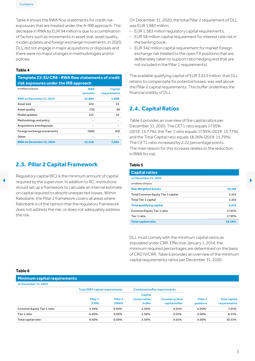<span id="page-4-0"></span>Table 4 shows the RWA flow statements for credit risk exposures that are treated under the A-IRB approach. The decrease in RWA by EUR 94 million is due to a combination of factors such as movements in asset size, asset quality, model updates and foreign exchange movements. In 2020, DLL did not engage in major acquisitions or disposals and there were no major changes in methodologies and/or policies.

#### **Table 4**

**Template 23: EU CR8 - RWA flow statements of credit risk exposures under the IRB approach**

| in millions of euros       | <b>RWA</b> | Capital      |
|----------------------------|------------|--------------|
|                            | amounts    | requirements |
| RWA on December 31, 2019   | 12,604     | 1,008        |
| Asset size                 | 424        | 34           |
| Asset quality              | (75)       | (6)          |
| Model updates              | 123        | 10           |
| Methodology and policy     |            |              |
| Acquisitions and disposals |            |              |
| Foreign exchange movements | (566)      | (45)         |
| Other                      |            |              |
| RWA on December 31, 2020   | 12,510     | 1,001        |

# **2.3. Pillar 2 Capital Framework**

On December 31, 2020, the total Pillar 2 requirement of DLL was EUR 1,983 million:

- EUR 1,583 million regulatory capital requirements;
- EUR 58 million capital requirement for interest rate risk in the banking book;
- EUR 342 million capital requirement for market foreign exchange risk (related to the open FX positions that are deliberately taken to support ratio hedging and that are not included in the Pillar 1 requirements).

The available qualifying capital of EUR 3,613 million, that DLL retains to compensate for potential losses, was well above the Pillar 2 capital requirements. This buffer underlines the financial solidity of DLL.

## **2.4. Capital Ratios**

Table 5 provides an overview of the capital ratios per December 31, 2020. The CET1 ratio equals 17.95% (2019: 15.77%), the Tier 1 ratio equals 17.95% (2019: 15.77%) and the Total Capital ratio equals 18.26% (2019: 15.79%). The CET1 ratio increased by 2.22 percentage points. The main reason for this increase relates to the reduction in RWA for risk.

#### **Table 5**

|                                                             |                                                                                                                    | <b>Capital ratios</b>              |        |  |  |  |
|-------------------------------------------------------------|--------------------------------------------------------------------------------------------------------------------|------------------------------------|--------|--|--|--|
|                                                             | Regulatory capital (RC) is the minimum amount of capital                                                           | on December 31, 2020               |        |  |  |  |
| required by the supervisor. In addition to RC, institutions | in millions of euros                                                                                               |                                    |        |  |  |  |
|                                                             | should set up a framework to calculate an internal estimate                                                        | <b>Risk Weighted Assets</b>        | 19,785 |  |  |  |
|                                                             | on capital required to absorb unexpected losses. Within<br>Rabobank, the Pillar 2 framework covers all areas where | Total Common Equity Tier 1 capital | 3,552  |  |  |  |
|                                                             |                                                                                                                    | <b>Total Tier 1 capital</b>        | 3,552  |  |  |  |
|                                                             | Rabobank is of the opinion that the regulatory framework                                                           | <b>Total qualifying capital</b>    | 3,613  |  |  |  |
|                                                             | does not address the risk, or does not adequately address                                                          | Common Equity Tier 1 ratio         | 17.95% |  |  |  |
| the risk.                                                   | Tier 1 ratio                                                                                                       | 17.95%                             |        |  |  |  |
|                                                             |                                                                                                                    | <b>Total capital ratio</b>         | 18.26% |  |  |  |

DLL must comply with the minimum capital ratios as stipulated under CRR. Effective January 1, 2014, the minimum required percentages are determined on the basis of CRD IV/CRR. Table 6 provides an overview of the minimum capital requirements ratios per December 31, 2020.

**Minimum capital requirements**

| on December 31, 2020       |                                        |                     |                                     |                 |                     |                      |  |  |  |  |  |
|----------------------------|----------------------------------------|---------------------|-------------------------------------|-----------------|---------------------|----------------------|--|--|--|--|--|
|                            | <b>Total SREP capital requirements</b> |                     | <b>Combined buffer requirements</b> |                 |                     |                      |  |  |  |  |  |
|                            |                                        |                     | Capital                             |                 |                     |                      |  |  |  |  |  |
|                            | Pillar <sub>1</sub>                    | Pillar <sub>2</sub> | conservation                        | Countercyclical | Pillar <sub>2</sub> | <b>Total capital</b> |  |  |  |  |  |
|                            | (CRR)                                  | (SREP)              | <b>buffer</b>                       | capital buffer  | quidance            | requirements         |  |  |  |  |  |
| Common Equity Tier 1 ratio | 4.50%                                  | 0.00%               | 2.50%                               | 0.01%           | $0.00\%$            | 7.01%                |  |  |  |  |  |
| Tier 1 ratio               | 6.00%                                  | $0.00\%$            | 2.50%                               | 0.01%           | $0.00\%$            | 8.51%                |  |  |  |  |  |
| Total capital ratio        | 8.00%                                  | 0.00%               | 2.50%                               | 0.01%           | $0.00\%$            | 10.51%               |  |  |  |  |  |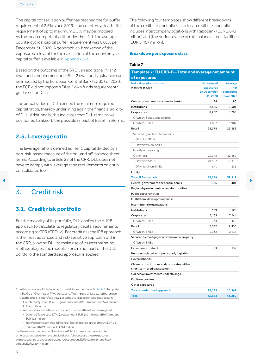<span id="page-5-0"></span>The capital conservation buffer has reached the full buffer requirement of 2.5% since 2019. The countercyclical buffer requirement of up to maximum 2.5% may be imposed by the local competent authorities. For DLL the average countercyclical capital buffer requirement was 0.01% per December 31, 2020. A geographical breakdown of the exposures relevant for the calculation of the countercyclical capital buffer is available in [Appendix](#page-18-1) 6.2.

Based on the outcome of the SREP, an additional Pillar 2 own funds requirement and Pillar 2 own funds guidance can be imposed by the European Central Bank (ECB). For 2020, the ECB did not impose a Pillar 2 own funds requirement/ guidance for DLL.

## **2.5. Leverage ratio**

# **3.1. Credit risk portfolio**

- 1 In the remainder of this document, the risk types mentioned in [Table](#page-3-1) 3 'Template 4 EU:OV1 -OverviewofRWA' are leading.This implies, unless statedotherwise, that the credit risk portfolio (row 1 of template 4) does not take into account:
	- Counterparty Credit Risk CR (gross amount EUR 103 million and RWA amount EUR 49million); and
	- Amounts below the threshold for deduction and therefore risk weighted: • Deferred Tax Assets (DTA) (gross amount EUR 170 million and RWA amount
	- EUR 426million)
	- Significant Investments in Financial Sector Entities (gross amount EUR 24 million and RWA amount EUR 61 million)

Furthermore, other non credit-obligation (ONCO) assets are, unless stated otherwise, excluded fromthe creditrisk portfoliobecause these exposures are not assigned to exposure classes (gross amount EUR 493 million and RWA amount EUR 2,294million).

The following four templates show different breakdowns of the credit risk portfolio<sup>1</sup>. The total credit risk portfolio includes intercompany positions with Rabobank (EUR 2,643 million) and (the notional value of) off-balance credit facilities (EUR 5,467 million).

#### **Breakdown per exposure class**

#### **Table 7**

| Based on the outcome of the SREP, an additional Pillar Z<br>own funds requirement and Pillar 2 own funds guidance can                     | Template 7: EU CRB-B-Total and average net amount<br>of exposures            |                                          |                             |  |  |  |
|-------------------------------------------------------------------------------------------------------------------------------------------|------------------------------------------------------------------------------|------------------------------------------|-----------------------------|--|--|--|
| be imposed by the European Central Bank (ECB). For 2020,<br>the ECB did not impose a Pillar 2 own funds requirement/<br>guidance for DLL. | <b>Net values of exposures</b><br>in millions of euros                       | Net value of<br>exposures<br>on December | Average<br>net<br>exposures |  |  |  |
|                                                                                                                                           |                                                                              | 31,2020                                  | over 2020                   |  |  |  |
| The actual ratios of DLL exceed the minimum required                                                                                      | Central governments or central banks                                         | 74                                       | 80                          |  |  |  |
| capital ratios, thereby underlining again the financial solidity                                                                          | Institutions                                                                 | 2,825                                    | 2,301                       |  |  |  |
| of DLL. Additionally, this indicates that DLL remains well                                                                                | Corporates                                                                   | 8,262                                    | 8,286                       |  |  |  |
| positioned to absorb the possible impact of Basel III reforms.                                                                            | Of which: Specialised lending                                                |                                          |                             |  |  |  |
|                                                                                                                                           | Of which: SMEs                                                               | 1,857                                    | 1,907                       |  |  |  |
|                                                                                                                                           | Retail                                                                       | 22,378                                   | 22,252                      |  |  |  |
| 2.5. Leverage ratio                                                                                                                       | Secured by real estate property                                              |                                          |                             |  |  |  |
|                                                                                                                                           | Of which: SMEs                                                               |                                          |                             |  |  |  |
| The leverage ratio is defined as Tier 1 capital divided by a                                                                              | Of which: Non-SMEs                                                           |                                          |                             |  |  |  |
| non-risk-based measure of the on- and off-balance sheet                                                                                   | Qualifying revolving                                                         |                                          |                             |  |  |  |
| items. According to article 22 of the CRR, DLL does not                                                                                   | Other retail                                                                 | 22,378                                   | 22,252                      |  |  |  |
| have to comply with leverage ratio requirements on a sub-                                                                                 | Of which: SMEs                                                               | 21,507                                   | 21,416                      |  |  |  |
| consolidated level.                                                                                                                       | Of which: Non-SMEs                                                           | 871                                      | 836                         |  |  |  |
|                                                                                                                                           | Equity                                                                       |                                          |                             |  |  |  |
|                                                                                                                                           | <b>Total IRB approach</b>                                                    | 33,539                                   | 32,919                      |  |  |  |
|                                                                                                                                           | Central governments or central banks                                         | 396                                      | 401                         |  |  |  |
| $\overline{3}$ .<br><b>Credit risk</b>                                                                                                    | Regional governments or local authorities                                    |                                          |                             |  |  |  |
|                                                                                                                                           | Public sector entities                                                       |                                          |                             |  |  |  |
|                                                                                                                                           | Multilateral development banks                                               |                                          |                             |  |  |  |
|                                                                                                                                           | International organisations                                                  |                                          |                             |  |  |  |
| 3.1. Credit risk portfolio                                                                                                                | Institutions                                                                 | 139                                      | 129                         |  |  |  |
|                                                                                                                                           | Corporates                                                                   | 7,165                                    | 7,244                       |  |  |  |
| For the majority of its portfolio, DLL applies the A-IRB                                                                                  | Of which: SMEs                                                               | 334                                      | 425                         |  |  |  |
| approach to calculate its regulatory capital requirements                                                                                 | Retail                                                                       | 2,332                                    | 2,435                       |  |  |  |
| according to CRR (CRD IV). For credit risk the IRB approach                                                                               | Of which: SMEs                                                               | 2,332                                    | 2,435                       |  |  |  |
| is the most advanced and risk-sensitive approach within                                                                                   | Secured by mortgages on immovable property                                   |                                          |                             |  |  |  |
| the CRR, allowing DLL to make use of its internal rating                                                                                  | Of which: SMEs                                                               |                                          |                             |  |  |  |
| methodologies and models. For a minor part of the DLL                                                                                     | Exposures in default                                                         | 93                                       | 132                         |  |  |  |
| portfolio the standardized approach is applied.                                                                                           | Items associated with particularly high risk                                 |                                          |                             |  |  |  |
|                                                                                                                                           | Covered bonds                                                                |                                          |                             |  |  |  |
|                                                                                                                                           | Claims on institutions and corporates with a<br>short-term credit assessment |                                          |                             |  |  |  |
|                                                                                                                                           | Collective investments undertakings                                          |                                          |                             |  |  |  |
|                                                                                                                                           | Equity exposures                                                             |                                          |                             |  |  |  |
|                                                                                                                                           | Other exposures                                                              |                                          |                             |  |  |  |
| 1 In the remainder of this document, the risk types mentioned in Table 3'Template                                                         | <b>Total standardised approach</b>                                           | 10,125                                   | 10,341                      |  |  |  |
| 4 EU: OV1 - Overview of RWA' are leading. This implies, unless stated otherwise,                                                          | <b>Total</b>                                                                 | 43,664                                   | 43,260                      |  |  |  |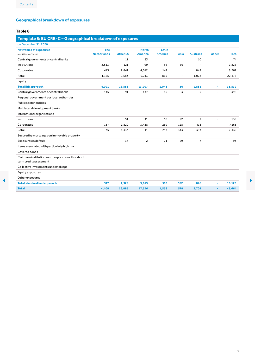# <span id="page-6-0"></span>**Geographical breakdown of exposures**

#### **Table 8**

# **Template 8: EU CRB-C – Geographical breakdown of exposures**

| on December 31, 2020                                                         |                          |                 |                |                |                          |                  |                          |              |
|------------------------------------------------------------------------------|--------------------------|-----------------|----------------|----------------|--------------------------|------------------|--------------------------|--------------|
| <b>Net values of exposures</b>                                               | The                      |                 | <b>North</b>   | Latin          |                          |                  |                          |              |
| in millions of euros                                                         | <b>Netherlands</b>       | <b>Other EU</b> | <b>America</b> | <b>America</b> | Asia                     | <b>Australia</b> | <b>Other</b>             | <b>Total</b> |
| Central governments or central banks                                         |                          | 11              | 53             |                |                          | 10               |                          | 74           |
| Institutions                                                                 | 2,513                    | 121             | 99             | 36             | 56                       |                  |                          | 2,825        |
| Corporates                                                                   | 413                      | 2,841           | 4,012          | 147            |                          | 849              |                          | 8,262        |
| Retail                                                                       | 1,165                    | 9,583           | 9,743          | 865            | $\overline{\phantom{a}}$ | 1,022            | $\sim$                   | 22,378       |
| Equity                                                                       |                          |                 |                |                |                          |                  |                          |              |
| <b>Total IRB approach</b>                                                    | 4,091                    | 12,556          | 13,907         | 1,048          | 56                       | 1,881            | ٠                        | 33,539       |
| Central governments or central banks                                         | 145                      | 91              | 137            | 15             | 3                        | 5                | $\overline{\phantom{0}}$ | 396          |
| Regional governments or local authorities                                    |                          |                 |                |                |                          |                  |                          |              |
| Public sector entities                                                       |                          |                 |                |                |                          |                  |                          |              |
| Multilateral development banks                                               |                          |                 |                |                |                          |                  |                          |              |
| International organisations                                                  |                          |                 |                |                |                          |                  |                          |              |
| Institutions                                                                 |                          | 51              | 41             | 18             | 22                       | $\overline{7}$   | $\overline{\phantom{a}}$ | 139          |
| Corporates                                                                   | 137                      | 2,820           | 3,428          | 239            | 125                      | 416              |                          | 7,165        |
| Retail                                                                       | 35                       | 1,333           | 11             | 217            | 343                      | 393              |                          | 2,332        |
| Secured by mortgages on immovable property                                   |                          |                 |                |                |                          |                  |                          |              |
| Exposures in default                                                         | $\overline{\phantom{a}}$ | 34              | $\overline{2}$ | 21             | 29                       | $\overline{7}$   |                          | 93           |
| Items associated with particularly high risk                                 |                          |                 |                |                |                          |                  |                          |              |
| Covered bonds                                                                |                          |                 |                |                |                          |                  |                          |              |
| Claims on institutions and corporates with a short<br>term credit assessment |                          |                 |                |                |                          |                  |                          |              |
| Collective investments undertakings                                          |                          |                 |                |                |                          |                  |                          |              |
| Equity exposures                                                             |                          |                 |                |                |                          |                  |                          |              |
| Other exposures                                                              |                          |                 |                |                |                          |                  |                          |              |
| <b>Total standardized approach</b>                                           | 317                      | 4,329           | 3,619          | 510            | 522                      | 828              | ٠                        | 10,125       |
| <b>Total</b>                                                                 | 4,408                    | 16,885          | 17,526         | 1,558          | 578                      | 2,709            | ٠                        | 43,664       |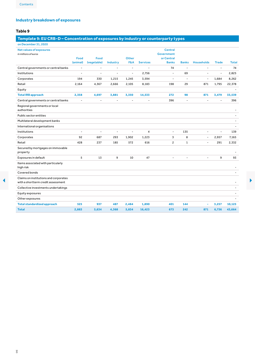# <span id="page-7-0"></span>**Industry breakdown of exposures**

#### **Table 9**

# **Template 9: EU CRB-D – Concentration of exposures by industry or counterparty types**

| on December 31, 2020                                                        |                          |                |                          |                |                 |                                     |                          |                          |                          |              |
|-----------------------------------------------------------------------------|--------------------------|----------------|--------------------------|----------------|-----------------|-------------------------------------|--------------------------|--------------------------|--------------------------|--------------|
| <b>Net values of exposures</b><br>in millions of euros                      |                          |                |                          |                |                 | <b>Central</b><br><b>Government</b> |                          |                          |                          |              |
|                                                                             | Food                     | Food           |                          | <b>Other</b>   |                 | or Central                          |                          |                          |                          |              |
|                                                                             | (animal)                 | (vegetable)    | Industry                 | <b>F&amp;A</b> | <b>Services</b> | <b>Banks</b>                        | <b>Banks</b>             | <b>Households</b>        | <b>Trade</b>             | <b>Total</b> |
| Central governments or central banks                                        | $\overline{\phantom{a}}$ | $\overline{a}$ | $\overline{\phantom{a}}$ | $\overline{a}$ |                 | 74                                  | $\blacksquare$           | $\blacksquare$           | $\blacksquare$           | 74           |
| Institutions                                                                | $\overline{a}$           | ÷,             | $\overline{a}$           | $\blacksquare$ | 2,756           | $\sim$                              | 69                       | $\overline{a}$           | $\blacksquare$           | 2,825        |
| Corporates                                                                  | 194                      | 330            | 1,215                    | 1,245          | 3,594           | $\overline{a}$                      | $\overline{\phantom{a}}$ | $\blacksquare$           | 1,684                    | 8,262        |
| Retail                                                                      | 2,164                    | 4,367          | 2,666                    | 2,105          | 8,183           | 198                                 | 29                       | 871                      | 1,795                    | 22,378       |
| Equity                                                                      |                          |                |                          |                |                 |                                     |                          |                          |                          |              |
| <b>Total IRB approach</b>                                                   | 2,358                    | 4,697          | 3,881                    | 3,350          | 14,533          | 272                                 | 98                       | 871                      | 3,479                    | 33,539       |
| Central governments or central banks                                        | $\overline{\phantom{a}}$ | $\sim$         | $\blacksquare$           | $\blacksquare$ |                 | 396                                 | $\sim$                   | $\overline{a}$           | $\overline{a}$           | 396          |
| Regional governments or local<br>authorities                                |                          |                |                          |                |                 |                                     |                          |                          |                          |              |
| Public sector entities                                                      |                          |                |                          |                |                 |                                     |                          |                          |                          |              |
| Multilateral development banks                                              |                          |                |                          |                |                 |                                     |                          |                          |                          |              |
| International organisations                                                 |                          |                |                          |                |                 |                                     |                          |                          |                          |              |
| Institutions                                                                | $\blacksquare$           | $\overline{a}$ | $\overline{\phantom{a}}$ | $\overline{a}$ | $\overline{4}$  | $\overline{\phantom{a}}$            | 135                      | $\overline{a}$           | $\overline{\phantom{a}}$ | 139          |
| Corporates                                                                  | 92                       | 687            | 293                      | 1,902          | 1,223           | 3                                   | 8                        | $\overline{\phantom{a}}$ | 2,957                    | 7,165        |
| Retail                                                                      | 428                      | 237            | 185                      | 572            | 616             | $\overline{c}$                      | $\mathbf{1}$             | $\overline{a}$           | 291                      | 2,332        |
| Secured by mortgages on immovable<br>property                               |                          |                |                          |                |                 |                                     |                          |                          |                          | ٠            |
| Exposures in default                                                        | 5                        | 13             | 9                        | 10             | 47              |                                     |                          |                          | 9                        | 93           |
| Items associated with particularly<br>highrisk                              |                          |                |                          |                |                 |                                     |                          |                          |                          |              |
| Covered bonds                                                               |                          |                |                          |                |                 |                                     |                          |                          |                          |              |
| Claims on institutions and corporates<br>with a shortterm credit assessment |                          |                |                          |                |                 |                                     |                          |                          |                          | ۰            |
| Collective investments undertakings                                         |                          |                |                          |                |                 |                                     |                          |                          |                          |              |
| Equity exposures                                                            |                          |                |                          |                |                 |                                     |                          |                          |                          |              |
| Other exposures                                                             |                          |                |                          |                |                 |                                     |                          |                          |                          |              |
| <b>Total standardized approach</b>                                          | 525                      | 937            | 487                      | 2,484          | 1,890           | 401                                 | 144                      | ٠                        | 3,257                    | 10,125       |
| <b>Total</b>                                                                | 2,883                    | 5,634          | 4,368                    | 5,834          | 16,423          | 673                                 | 242                      | 871                      | 6,736                    | 43,664       |
|                                                                             |                          |                |                          |                |                 |                                     |                          |                          |                          |              |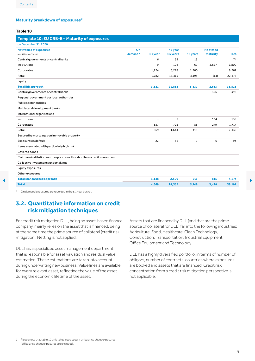#### <span id="page-8-0"></span>**Maturity breakdown of exposures 2**

#### **Table 10**

| Template 10: EU CRB-E-Maturity of exposures                              |         |                |                |           |                          |              |
|--------------------------------------------------------------------------|---------|----------------|----------------|-----------|--------------------------|--------------|
| on December 31, 2020                                                     |         |                |                |           |                          |              |
| <b>Net values of exposures</b>                                           | On      |                | $>1$ year      |           | <b>No stated</b>         |              |
| in millions of euros                                                     | demand* | $\leq 1$ year  | $\leq$ 5 years | > 5 years | maturity                 | <b>Total</b> |
| Central governments or central banks                                     |         | 6              | 55             | 13        |                          | 74           |
| Institutions                                                             |         | 9              | 104            | 69        | 2,627                    | 2,809        |
| Corporates                                                               |         | 1,724          | 5,278          | 1,260     |                          | 8,262        |
| Retail                                                                   |         | 1,782          | 16,415         | 4,195     | (14)                     | 22,378       |
| Equity                                                                   |         |                |                |           |                          |              |
| <b>Total IRB approach</b>                                                |         | 3,521          | 21,852         | 5,537     | 2,613                    | 33,523       |
| Central governments or central banks                                     |         | $\overline{a}$ | $\overline{a}$ |           | 396                      | 396          |
| Regional governments or local authorities                                |         |                |                |           |                          |              |
| Public sector entities                                                   |         |                |                |           |                          |              |
| Multilateral development banks                                           |         |                |                |           |                          |              |
| International organisations                                              |         |                |                |           |                          |              |
| Institutions                                                             |         | $\overline{a}$ | 5              |           | 134                      | 139          |
| Corporates                                                               |         | 557            | 795            | 83        | 279                      | 1,714        |
| Retail                                                                   |         | 569            | 1,644          | 119       | $\overline{\phantom{a}}$ | 2,332        |
| Secured by mortgages on immovable property                               |         |                |                |           |                          |              |
| Exposures in default                                                     |         | 22             | 56             | 9         | 6                        | 93           |
| Items associated with particularly high risk                             |         |                |                |           |                          |              |
| Covered bonds                                                            |         |                |                |           |                          |              |
| Claims on institutions and corporates with a shortterm credit assessment |         |                |                |           |                          |              |
| Collective investments undertakings                                      |         |                |                |           |                          |              |
| Equity exposures                                                         |         |                |                |           |                          |              |
| Other exposures                                                          |         |                |                |           |                          |              |
| <b>Total standardized approach</b>                                       |         | 1,148          | 2,500          | 211       | 815                      | 4,674        |
| <b>Total</b>                                                             |         | 4,669          | 24,352         | 5,748     | 3,428                    | 38,197       |

\* On demand exposures are reported in the ≤ 1 year bucket.

# **3.2. Quantitative information on credit risk mitigation techniques**

For credit risk mitigation DLL, being an asset-based finance company, mainly relies on the asset that is financed, being at the same time the prime source of collateral (credit risk mitigation). Netting is not applied.

DLL has a specialized asset management department that is responsible for asset valuation and residual value estimation. These estimations are taken into account during underwriting new business. Value lines are available for every relevant asset, reflecting the value of the asset during the economic lifetime of the asset.

Assets that are financed by DLL (and that are the prime source of collateral for DLL) fall into the following industries: Agriculture, Food, Healthcare, Clean Technology, Construction, Transportation, Industrial Equipment, Office Equipment and Technology.

DLL has a highly diversified portfolio, in terms of number of obligors, number of contracts, countries where exposures are booked and assets that are financed. Credit risk concentration from a credit risk mitigation perspective is not applicable.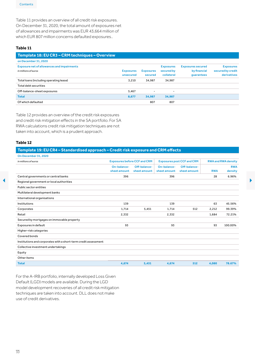<span id="page-9-0"></span>Table 11 provides an overview of all credit risk exposures. On December 31, 2020, the total amount of exposures net of allowances and impairments was EUR 43,664 million of which EUR 807 million concerns defaulted exposures..

#### **Table 11**

| Template 18: EU CR3 - CRM techniques - Overview                           |                               |                             |                                              |                                                        |                                                      |
|---------------------------------------------------------------------------|-------------------------------|-----------------------------|----------------------------------------------|--------------------------------------------------------|------------------------------------------------------|
| on December 31, 2020                                                      |                               |                             |                                              |                                                        |                                                      |
| <b>Exposure net of allowances and impairments</b><br>in millions of euros | <b>Exposures</b><br>unsecured | <b>Exposures</b><br>secured | <b>Exposures</b><br>secured by<br>collateral | <b>Exposures secured</b><br>by financial<br>quarantees | <b>Exposures</b><br>secured by credit<br>derivatives |
| Total loans (including operating lease)                                   | 3.210                         | 34.987                      | 34.987                                       |                                                        |                                                      |
| Total debt securities                                                     |                               |                             |                                              |                                                        |                                                      |
| Off-balance-sheet exposures                                               | 5,467                         | $\overline{\phantom{a}}$    | -                                            |                                                        |                                                      |
| <b>Total</b>                                                              | 8,677                         | 34,987                      | 34,987                                       |                                                        |                                                      |
| Of which defaulted                                                        |                               | 807                         | 807                                          |                                                        |                                                      |

Table 12 provides an overview of the credit risk exposures and credit risk mitigation effects in the SA portfolio. For SA RWA calculations credit risk mitigation techniques are not taken into account, which is a prudent approach.

#### **Table 12**

# **Template 19: EU CR4 – Standardised approach – Credit risk exposure and CRM effects**

| in millions of euros                                            |                             | <b>Exposures before CCF and CRM</b> |                             | <b>Exposures post CCF and CRM</b> |            | <b>RWA and RWA density</b> |
|-----------------------------------------------------------------|-----------------------------|-------------------------------------|-----------------------------|-----------------------------------|------------|----------------------------|
|                                                                 | On-balance-<br>sheet amount | Off-balance-<br>sheet amount        | On-balance-<br>sheet amount | Off-balance-<br>sheet amount      | <b>RWA</b> | <b>RWA</b><br>density      |
| Central governments or central banks                            | 396                         |                                     | 396                         |                                   | 28         | 6.96%                      |
| Regional government or local authorities                        |                             |                                     |                             |                                   |            |                            |
| Public sector entities                                          |                             |                                     |                             |                                   |            |                            |
| Multilateral development banks                                  |                             |                                     |                             |                                   |            |                            |
| International organisations                                     |                             |                                     |                             |                                   |            |                            |
| Institutions                                                    | 139                         |                                     | 139                         |                                   | 63         | 45.56%                     |
| Corporates                                                      | 1,714                       | 5,451                               | 1,714                       | 512                               | 2,212      | 99.39%                     |
| Retail                                                          | 2,332                       |                                     | 2,332                       |                                   | 1,684      | 72.21%                     |
| Secured by mortgages on immovable property                      |                             |                                     |                             |                                   |            |                            |
| Exposures in default                                            | 93                          |                                     | 93                          |                                   | 93         | 100.00%                    |
| Higher-risk categories                                          |                             |                                     |                             |                                   |            |                            |
| Covered bonds                                                   |                             |                                     |                             |                                   |            |                            |
| Institutions and corporates with a short-term credit assessment |                             |                                     |                             |                                   |            |                            |
| Collective investment undertakings                              |                             |                                     |                             |                                   |            |                            |
| Equity                                                          |                             |                                     |                             |                                   |            |                            |
| Other items                                                     |                             |                                     |                             |                                   |            |                            |

For the A-IRB portfolio, internally developed Loss Given Default (LGD) models are available. During the LGD model development recoveries of all credit risk mitigation techniques are taken into account. DLL does not make use of credit derivatives.

 $\overline{10}$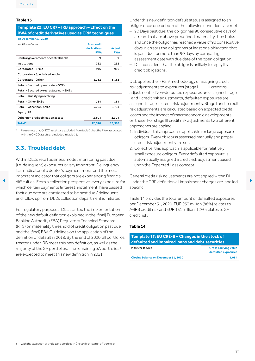#### <span id="page-10-0"></span>**Table 13**

#### **Template 22: EU CR7 – IRB approach – Effect on the RWA of credit derivatives used as CRM techniques**

| on December 31, 2020                     |                                                |                      |
|------------------------------------------|------------------------------------------------|----------------------|
| in millions of euros                     | <b>Pre-credit</b><br>derivatives<br><b>RWA</b> | Actual<br><b>RWA</b> |
| Central governments or central banks     | 9                                              | 9                    |
| Institutions                             | 262                                            | 262                  |
| Corporates-SMEs                          | 916                                            | 916                  |
| Corporates - Specialised lending         |                                                |                      |
| Corporates-Other                         | 3,132                                          | 3,132                |
| Retail - Secured by real estate SMEs     |                                                |                      |
| Retail - Secured by real estate non-SMEs |                                                |                      |
| Retail - Qualifying revolving            |                                                |                      |
| Retail - Other SMEs                      | 184                                            | 184                  |
| Retail - Other non-SMEs                  | 5.703                                          | 5,703                |
| <b>Equity IRB</b>                        |                                                |                      |
| Other non credit obligation assets       | 2,304                                          | 2.304                |
| Total*                                   | 12,510                                         | 12,510               |
|                                          |                                                |                      |

\* Please note thatONCOassets are excluded fromtable 11 buttheRWAassociated with the ONCO assets are included in table 13.

# <span id="page-10-1"></span>**3.3. Troubled debt**

Within DLL's retail business model, monitoring past due (i.e. delinquent) exposures is very important. Delinquency is an indicator of a debtor's payment moral and the most important indicator that obligors are experiencing financial difficulties. From a collection perspective, every exposure for Under the CRR definition all impairment charges are labelled which certain payments (interest, installment) have passed their due date are considered to be past due / delinquent and follow up from DLL's collection department is initiated.

For regulatory purposes, DLL started the implementation of the new default definition explained in the (final) European Banking Authority (EBA) Regulatory Technical Standard (RTS) on materiality threshold of credit obligation past due and the (final) EBA Guidelines on the application of the definition of default in 2018. By the end of 2020, all portfolios treated under IRB meet this new definition, as well as the majority of the SA portfolios. The remaining SA portfolios <sup>3</sup> are expected to meet this new definition in 2021.

Under this new definition default status is assigned to an obligor once one or both of the following conditions are met:

- 90 Days past due: the obligor has 90 consecutive days of arrears that are above predefined materiality thresholds and once the obligor has reached a value of 90 consecutive days in arrears the obligor has at least one obligation that is past due for more than 90 days by comparing assessment date with due date of the open obligation.
- DLL considers that the obligor is unlikely to repay its credit obligations.

DLL applies the IFRS 9 methodology of assigning credit risk adjustments to exposures (stage I – II – III credit risk adjustments). Non-defaulted exposures are assigned stage I and II credit risk adjustments, defaulted exposures are assigned stage III credit risk adjustments. Stage I and II credit risk adjustments are calculated based on expected credit losses and the impact of macroeconomic developments on these. For stage III credit risk adjustments two different approaches are applied:

- 1. Individual: this approach is applicable for large exposure obligors. Every obligor is assessed manually and proper credit risk adjustments are set.
- 2. Collective: this approach is applicable for relatively small exposure obligors. Every defaulted exposure is automatically assigned a credit risk adjustment based upon the Expected Loss concept.

General credit risk adjustments are not applied within DLL. Under the CRR definition all impairment charges are labelled specific.

Table 14 provides the total amount of defaulted exposures per December 31, 2020. EUR 953 million (88%) relates to A-IRB credit risk and EUR 131 million (12%) relates to SA credit risk.

#### **Table 14**

| Template 17: EU CR2-B - Changes in the stock of  |                                                    |
|--------------------------------------------------|----------------------------------------------------|
| defaulted and impaired loans and debt securities |                                                    |
| in millions of euros                             | <b>Gross carrying value</b><br>defaulted exposures |
| Closing balance on December 31, 2020             | 1.084                                              |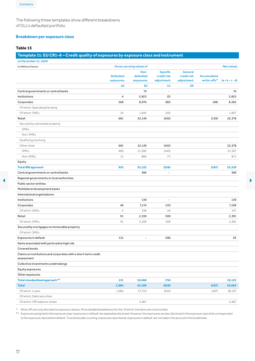<span id="page-11-0"></span>The following three templates show different breakdowns of DLL's defaulted portfolio.

#### **Breakdown per exposure class**

#### **Table 15**

#### **Template 11: EU CR1-A – Credit quality of exposures by exposure class and instrument**

| in millions of euros                                                                                  |                  | <b>Gross carrying values of</b> |                          |                |                    | <b>Net values</b> |
|-------------------------------------------------------------------------------------------------------|------------------|---------------------------------|--------------------------|----------------|--------------------|-------------------|
|                                                                                                       |                  | Non-                            | <b>Specific</b>          | <b>General</b> |                    |                   |
|                                                                                                       | <b>Defaulted</b> | defaulted                       | credit risk              | credit risk    | <b>Accumulated</b> |                   |
|                                                                                                       | exposures        | exposures                       | adjustment               | adjustment     | write-offs*        | $(a + b - c - d)$ |
|                                                                                                       | (a)              | (b)                             | (c)                      | (d)            |                    |                   |
| Central governments or central banks                                                                  |                  | 74                              |                          |                |                    | 74                |
| Institutions                                                                                          | $\overline{4}$   | 2,823                           | (2)                      |                |                    | 2,825             |
| Corporates                                                                                            | 268              | 8,076                           | (82)                     |                | (48)               | 8,262             |
| Of which: Specialised lending                                                                         |                  |                                 |                          |                |                    |                   |
| Of which: SMEs                                                                                        | 34               | 1,843                           | (20)                     |                |                    | 1,857             |
| Retail                                                                                                | 681              | 22,149                          | (452)                    |                | (139)              | 22,378            |
| Secured by real estate property                                                                       |                  |                                 |                          |                |                    |                   |
| <b>SMEs</b>                                                                                           |                  |                                 |                          |                |                    |                   |
| Non-SMEs                                                                                              |                  |                                 |                          |                |                    |                   |
| Qualifying revolving                                                                                  |                  |                                 |                          |                |                    |                   |
| Other retail                                                                                          | 681              | 22,149                          | (452)                    |                |                    | 22,378            |
| SMEs                                                                                                  | 669              | 21,283                          | (445)                    |                |                    | 21,507            |
| Non-SMEs                                                                                              | 12               | 866                             | (7)                      |                |                    | 871               |
| Equity                                                                                                |                  |                                 |                          |                |                    |                   |
| <b>Total IRB approach</b>                                                                             | 953              | 33,122                          | (536)                    |                | (187)              | 33,539            |
| Central governments or central banks                                                                  |                  | 396                             |                          |                |                    | 396               |
| Regional governments or local authorities<br>Public sector entities<br>Multilateral development banks |                  |                                 |                          |                |                    |                   |
| International organisations                                                                           |                  |                                 |                          |                |                    |                   |
| Institutions                                                                                          |                  | 139                             | $\overline{\phantom{a}}$ |                |                    | 139               |
| Corporates                                                                                            | 40               | 7,174                           | (15)                     |                |                    | 7,199             |
| Of which: SMEs                                                                                        | 5                | 336                             | (4)                      |                |                    | 337               |
| Retail                                                                                                | 91               | 2,359                           | (59)                     |                |                    | 2,391             |
| Of which: SMEs                                                                                        | 91               | 2,359                           | (59)                     |                |                    | 2,391             |
| Secured by mortgages on immovable property                                                            |                  |                                 |                          |                |                    |                   |
| Of which: SMEs                                                                                        |                  |                                 |                          |                |                    |                   |
| Exposures in default                                                                                  | 131              | $\overline{\phantom{a}}$        | (38)                     |                |                    | 93                |
| Items associated with particularly high risk                                                          |                  |                                 |                          |                |                    |                   |
| Covered bonds                                                                                         |                  |                                 |                          |                |                    |                   |
| Claims on institutions and corporates with a short-term credit                                        |                  |                                 |                          |                |                    |                   |
| assessment                                                                                            |                  |                                 |                          |                |                    |                   |
| Collective investments undertakings                                                                   |                  |                                 |                          |                |                    |                   |
| Equity exposures                                                                                      |                  |                                 |                          |                |                    |                   |
| Other exposures                                                                                       |                  |                                 |                          |                |                    |                   |
| Total standardised approach**                                                                         | 131              | 10,068                          | (74)                     |                |                    | 10,125            |
| <b>Total</b>                                                                                          | 1,084            | 43,190                          | (610)                    |                | (187)              | 43,664            |
|                                                                                                       | 1,084            | 37,723                          | (610)                    |                | (187)              | 38,197            |
| Of which: Loans<br>Of which: Debt securities                                                          |                  |                                 |                          |                |                    |                   |

\* Writeoffs areonly allocated toexposure classes.More detailed breakdowns forthe 'ofwhich' line items are not provided.

\*\* Exposures assigned to the exposure class 'exposures in default' are separately disclosed. However, the exposures are also disclosed in the exposure class that corresponded to the exposure class before default.Toavoid double counting, exposures reported as 'exposures in default' are nottaken intoaccountin the (sub)totals.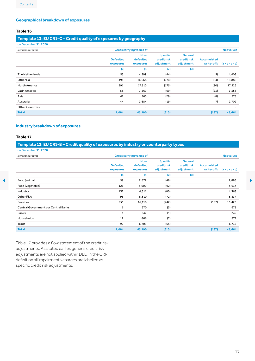#### <span id="page-12-0"></span>**Geographical breakdown of exposures**

#### **Table 16**

#### **Template 13: EU CR1-C – Credit quality of exposures by geography**

| on December 31, 2020   |                               |                                |                                              |                                             |                                  |                          |
|------------------------|-------------------------------|--------------------------------|----------------------------------------------|---------------------------------------------|----------------------------------|--------------------------|
| in millions of euros   |                               | Gross carrying values of       |                                              |                                             |                                  | <b>Net values</b>        |
|                        | <b>Defaulted</b><br>exposures | Non-<br>defaulted<br>exposures | <b>Specific</b><br>credit risk<br>adjustment | <b>General</b><br>credit risk<br>adjustment | <b>Accumulated</b><br>write-offs | $(a + b - c - d)$        |
|                        | (a)                           | (b)                            | (c)                                          | (d)                                         |                                  |                          |
| The Netherlands        | 53                            | 4,399                          | (44)                                         |                                             | (5)                              | 4,408                    |
| Other EU               | 491                           | 16,668                         | (274)                                        |                                             | (64)                             | 16,885                   |
| North America          | 391                           | 17,310                         | (175)                                        |                                             | (80)                             | 17,526                   |
| Latin America          | 58                            | 1,569                          | (69)                                         |                                             | (23)                             | 1,558                    |
| Asia                   | 47                            | 560                            | (29)                                         |                                             | (8)                              | 578                      |
| Australia              | 44                            | 2,684                          | (19)                                         |                                             | (7)                              | 2,709                    |
| <b>Other Countries</b> |                               | $\overline{\phantom{a}}$       | $\overline{\phantom{a}}$                     |                                             |                                  | $\overline{\phantom{a}}$ |
| <b>Total</b>           | 1,084                         | 43,190                         | (610)                                        |                                             | (187)                            | 43,664                   |

#### **Industry breakdown of exposures**

#### **Table 17**

# **Template 12: EU CR1-B – Credit quality of exposures by industry or counterparty types**

| on December 31, 2020                 |                               |                                 |                                              |                                             |                                  |                   |   |
|--------------------------------------|-------------------------------|---------------------------------|----------------------------------------------|---------------------------------------------|----------------------------------|-------------------|---|
| in millions of euros                 |                               | <b>Gross carrying values of</b> |                                              |                                             |                                  | <b>Net values</b> |   |
|                                      | <b>Defaulted</b><br>exposures | Non-<br>defaulted<br>exposures  | <b>Specific</b><br>credit risk<br>adjustment | <b>General</b><br>credit risk<br>adjustment | <b>Accumulated</b><br>write-offs | $(a + b - c - d)$ |   |
|                                      | (a)                           | (b)                             | (c)                                          | (d)                                         |                                  |                   |   |
| Food (animal)                        | 59                            | 2,872                           | (48)                                         |                                             |                                  | 2,883             | ▶ |
| Food (vegetable)                     | 126                           | 5,600                           | (92)                                         |                                             |                                  | 5,634             |   |
| Industry                             | 137                           | 4,311                           | (80)                                         |                                             |                                  | 4,368             |   |
| Other F&A                            | 96                            | 5,810                           | (72)                                         |                                             |                                  | 5,834             |   |
| Services                             | 555                           | 16,110                          | (242)                                        |                                             | (187)                            | 16,423            |   |
| Central Governments or Central Banks | 6                             | 670                             | (3)                                          |                                             |                                  | 673               |   |
| Banks                                | $\mathbf{1}$                  | 242                             | (1)                                          |                                             |                                  | 242               |   |
| Households                           | 12                            | 866                             | (7)                                          |                                             |                                  | 871               |   |
| Trade                                | 92                            | 6,709                           | (65)                                         |                                             |                                  | 6,736             |   |
| <b>Total</b>                         | 1,084                         | 43,190                          | (610)                                        |                                             | (187)                            | 43,664            |   |
|                                      |                               |                                 |                                              |                                             |                                  |                   |   |

Table 17 provides a flow statement of the credit risk adjustments. As stated earlier, general credit risk adjustments are not applied within DLL. In the CRR definition all impairments charges are labelled as specific credit risk adjustments.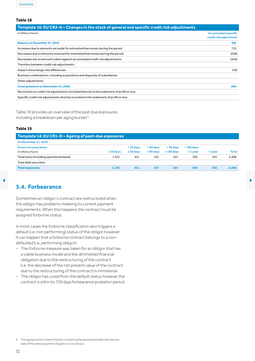#### <span id="page-13-0"></span>**Table 18**

| <b>Accumulated specific</b><br>credit risk adjustment |
|-------------------------------------------------------|
| 362                                                   |
| 715                                                   |
| (248)                                                 |
| (204)                                                 |
|                                                       |
| (16)                                                  |
|                                                       |
|                                                       |
| 609                                                   |
|                                                       |
|                                                       |
|                                                       |

Table 19 provides an overview of the past due exposures including a breakdown per aging bucket <sup>4</sup>.

#### **Table 19**

| Template 14: EU CR1-D - Ageing of past-due exposures |                |                |                |                 |               |           |              |
|------------------------------------------------------|----------------|----------------|----------------|-----------------|---------------|-----------|--------------|
| on December 31, 2020                                 |                |                |                |                 |               |           |              |
| <b>Gross carrying values</b>                         |                | $> 30$ days    | $>60$ days     | $> 90$ days     | $>180$ days   |           |              |
| in millions of euros                                 | $\leq$ 30 days | $\leq 60$ days | $\leq 90$ days | $\leq 180$ days | $\leq 1$ year | $>1$ vear | <b>Total</b> |
| Total loans (including operational lease)            | 1.331          | 411            | 135            | 221             | 205           | 165       | 2,468        |
| Total debt securities                                |                |                |                |                 |               |           |              |
| <b>Total exposures</b>                               | 1.331          | 411            | 135            | 221             | 205           | 165       | 2,468        |

# **3.4. Forbearance**

Sometimes an obligor's contract are restructured when the obligor has problems meeting its current payment requirements. When this happens the contract must be assigned forborne status.

In most cases the forborne classification also triggers a default (i.e. non performing) status of the obligor however it can happen that a forborne contract belongs to a nondefaulted (i.e. performing obligor):

- The forborne measure was taken for an obligor that has a viable business model and the diminished financial obligation due to the restructuring of the contract (i.e. the decrease of the net present value of the contract due to the restructuring of the contract) is immaterial.
- The obligor has cured from the default status however the contractis still in its 730 days forbearance probation period.

<sup>4</sup> The aging bucketis determined by comparing the assessment datewith the due date of the oldest payment obligation on a contract.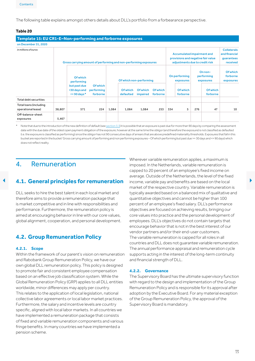<span id="page-14-0"></span>The following table explains amongst others details about DLL's portfolio from a forbearance perspective.

#### **Table 20**

| Template 15: EU CR1-E-Non-performing and forborne exposures |        |                                                                  |                                           |       |                              |                             |                             |     |                                                                                                    |     |                                    |                                                               |
|-------------------------------------------------------------|--------|------------------------------------------------------------------|-------------------------------------------|-------|------------------------------|-----------------------------|-----------------------------|-----|----------------------------------------------------------------------------------------------------|-----|------------------------------------|---------------------------------------------------------------|
| on December 31, 2020                                        |        |                                                                  |                                           |       |                              |                             |                             |     |                                                                                                    |     |                                    |                                                               |
| in millions of euros                                        |        | Gross carrying amount of performing and non-performing exposures |                                           |       |                              |                             |                             |     | Accumulated impairment and<br>provisions and negative fair value<br>adjustments due to credit risk |     |                                    | <b>Collaterals</b><br>and financial<br>guarantees<br>received |
|                                                             |        | <b>Of which</b><br>performing                                    |                                           |       | Of which non-performing      |                             |                             |     | On performing<br>exposures                                                                         |     | On non-<br>performing<br>exposures | <b>Of which</b><br>forborne<br>exposures                      |
|                                                             |        | but past due<br>>30 days and<br>$\leq$ 90 days $*$               | <b>Of which</b><br>performing<br>forborne |       | <b>Of which</b><br>defaulted | <b>Of which</b><br>impaired | <b>Of which</b><br>forborne |     | <b>Of which</b><br>forborne                                                                        |     | <b>Of which</b><br>forborne        |                                                               |
| Total debt securities                                       |        |                                                                  |                                           |       |                              |                             |                             |     |                                                                                                    |     |                                    |                                                               |
| Total loans (including<br>operational lease)                | 38,807 | 571                                                              | 224                                       | 1,084 | 1,084                        | 1,084                       | 253                         | 334 | 5                                                                                                  | 276 | 47                                 | 10                                                            |
| Off-balance-sheet<br>exposures                              | 5,467  |                                                                  |                                           |       |                              |                             |                             |     |                                                                                                    |     |                                    |                                                               |

Note that due to the introduction of the new definition of default (see [section](#page-10-1) 3.3) it is possible that an exposure is past due for more than 90 days by comparing the assessment date with the due date of the oldest open payment obligation of the exposure, however at the same time the obligor (and therefore the exposure) is not classified as defaulted (i.e.the exposure is classified as performing) since theobligor has not 90 consecutive daysof arrears that are above predefinedmateriality thresholds. Exposures thatfall in this bucket are reported in the bucket'Gross carrying amountof performing and non performing exposures –Ofwhich performing but past due >= 30 days and <= 90 days)which does notreflectreality.

# 4. Remuneration

DLL seeks to hire the best talent in each local market and therefore aims to provide a remuneration package that is market competitive and in line with responsibilities and performance. Furthermore, the remuneration policy is aimed at encouraging behavior in line with our core values, global alignment, cooperation, and personal development.

# **4.2. Group Remuneration Policy**

#### **4.2.1. Scope**

Within the framework of our parent's vision on remuneration and Rabobank Group Remuneration Policy, we have our own global DLL remuneration policy. This policy is designed to promote fair and consistent employee compensation based on an effective job classification system. While the Global Remuneration Policy (GRP) applies to all DLL entities worldwide, minor differences may apply per country. This relates to the application of local legislation, national collective labor agreements or local labor market practices. Furthermore, the salary and incentive levels are country specific, aligned with local labor markets. In all countries we have implemented a remuneration package that consists of fixed and variable remuneration components and various fringe benefits. In many countries we have implemented a pension scheme.

**4.1. General principles for remuneration** income, variable pay and benefits are based on the local Wherever variable remuneration applies, a maximum is imposed. In the Netherlands, variable remuneration is capped to 20 percent of an employee's fixed income on average. Outside of the Netherlands, the level of the fixed income, variable pay and benefits are based on the local market of the respective country. Variable remuneration is typically awarded based on a balanced mix of qualitative and quantitative objectives and cannot be higher than 100 percent of an employee's fixed salary. DLL's performance objectives are focused on achieving results, bringing our core values into practice and the personal development of employees. DLL's objectives do not contain targets that encourage behavior that is not in the best interest of our vendor partners and/or their end-user customers. The variable remuneration is capped for all roles in all countries andDLL does not guarantee variable remuneration. The annual performance appraisal and remuneration cycle supports acting in the interest of the long-term continuity and financial strength of DLL.

#### **4.2.2. Governance**

The Supervisory Board has the ultimate supervisory function with regard to the design and implementation of the Group Remuneration Policy and is responsible for its approval after adoption by the Executive Board. For any material exception of the Group Remuneration Policy, the approval of the Supervisory Board is mandatory.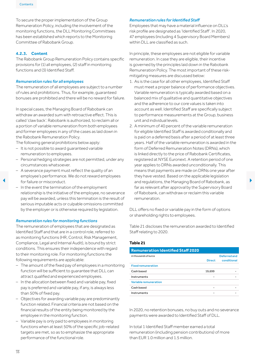<span id="page-15-0"></span>To secure the proper implementation of the Group Remuneration Policy, including the involvement of the monitoring functions, the DLL Monitoring Committees has been established which reports to the Monitoring Committee of Rabobank Group.

#### **4.2.3. Content**

The Rabobank Group Remuneration Policy contains specific provisions for (1) all employees, (2) staff in monitoring functions and (3) Identified Staff.

#### *Remuneration rules for all employees*

The remuneration of all employees are subject to a number of rules and prohibitions. Thus, for example, guaranteed bonuses are prohibited and there will be no reward for failure.

In special cases, the Managing Board of Rabobank can withdraw an awarded sum with retroactive effect. This is called 'claw back'. Rabobank is authorized, to reclaim all or a portion of variable remuneration from both employees and former employees in any of the cases as laid down in the Rabobank Remuneration Policy.

The following general prohibitions below apply:

- It is not possible to award quaranteed variable remuneration to employees.
- Personal hedging strategies are not permitted, under any circumstances whatsoever.
- A severance payment must reflect the quality of an employee's performance. We do not reward employees for failure or misconduct.
- In the event the termination of the employment relationship is the initiative of the employee, no severance pay will be awarded, unless this termination is the result of serious imputable acts or culpable omissions committed by the employer or is otherwise required by legislation.

#### *Remuneration rules for monitoring functions*

The remuneration of employees that are designated as Identified Staff and that are in a control role, referred to as monitoring functions (HR, Control, Risk Management, Compliance, Legal and Internal Audit), is bound by strict conditions. This ensures their independence with regard to their monitoring role. For monitoring functions the following requirements are applicable:

- $-$  The amount of the fixed pay of employees in a monitoring function will be sufficient to guarantee that DLL can attract qualified and experienced employees.
- In the allocation between fixed and variable pay, fixed pay is preferred and variable pay, if any, is always less than 50% of fixed pay.
- Objectives for awarding variable pay are predominantly function related. Financial criteria are not based on the financial results of the entity being monitored by the employee in the monitoring function.
- Variable pay is only paid to employees in monitoring functions when at least 50% of the specific job-related targets are met, so as to emphasize the appropriate performance of the functional role.

#### *Remuneration rules for Identified Staff*

Employees that may have a material influence on DLL's risk profile are designated as 'Identified Staff'. In 2020, 47 employees (including 4 Supervisory Board Members) within DLL are classified as such.

In principle, these employees are not eligible for variable remuneration. In case they are eligible, their incentive is governed by the principles laid down in the Rabobank Remuneration Policy. The most important of these riskmitigating measures are discussed below:

- 1. As is the case for all other employees, Identified Staff must meet a proper balance of performance objectives. Variable remuneration is typically awarded based on a balanced mix of qualitative and quantitative objectives and the adherence to our core values is taken into account as well. Identified Staff are specifically subject to performance measurements at the Group, business unit and individual levels.
- 2. A minimum of 40 percent of the variable remuneration for eligible Identified Staff is awarded conditionally and is paid on a deferred basis after a period of at least three years. Half of the variable remuneration is awarded in the form of Deferred Remuneration Notes (DRNs), which is linked directly to the price of Rabobank Certificates, registered at NYSE Euronext. A retention period of one year applies to DRNs awarded unconditionally. This means that payments are made on DRNs one year after they have vested. Based on the applicable legislation 1 for failure or misconduct. far as relevant after approval by the Supervisory Board of Rabobank, can withdraw or reclaim this variable remuneration.

DLL offers no fixed or variable pay in the form of options or shareholding rights to employees.

Table 21 discloses the remuneration awarded to Identified Staff relating to 2020.

#### **Table 21**

| <b>Remuneration Identified Staff 2020</b> |               |                             |
|-------------------------------------------|---------------|-----------------------------|
| in thousands of euros                     | <b>Direct</b> | Deferred and<br>conditional |
| <b>Fixed remuneration</b>                 |               |                             |
| Cash based                                | 19,699        |                             |
| Instruments                               |               |                             |
| <b>Variable remuneration</b>              |               |                             |
| Cash based                                |               |                             |
| Instruments                               | -             |                             |
|                                           |               |                             |

In 2020, no retention bonuses, no buy outs and no severance payments were awarded to Identified Staff of DLL.

In total 1 Identified Staff member earned a total remuneration (including pension contributions) of more than EUR 1.0 million and 1.5 million.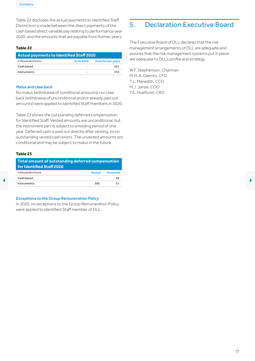<span id="page-16-0"></span>Table 22 discloses the actual payments to Identified Staff. Distinction is made between the direct payments of the cash based direct variable pay relating to performance year 2020, and the amounts that are payable from former years.

#### **Table 22**

| <b>Actual payments to Identified Staff 2020</b> |           |                   |
|-------------------------------------------------|-----------|-------------------|
| in thousands of euros                           | from 2020 | from former years |
| Cash based                                      |           | 421               |
| Instruments                                     | -         | 574               |

#### *Malus and claw back*

No malus (withdrawal of conditional amounts) nor claw back (withdrawal of unconditional and/or already paid out amounts) were applied to Identified Staff members in 2020.

Table 23 shows the outstanding deferred compensation for Identified Staff. Vested amounts are unconditional, but the instrument part is subject to a holding period of one year. Deferred cash is paid out directly after vesting, so no outstanding vested cash exists. The unvested amounts are conditional and may be subject to malus in the future.

#### **Table 23**

| Total amount of outstanding deferred compensation<br>for Identified Staff 2020 |                          |                 |
|--------------------------------------------------------------------------------|--------------------------|-----------------|
| in thousands of euros                                                          | Vested                   | <b>Unvested</b> |
| Cash based                                                                     | $\overline{\phantom{0}}$ | 49              |
| Instruments                                                                    | 383                      | 51              |

#### *Exceptions to the Group Remuneration Policy*

In 2020, no exceptions to the Group Remuneration Policy were applied to Identified Staff member of DLL.

# 5. Declaration Executive Board

The Executive Board of DLL declares that the risk management arrangements of DLL are adequate and assures that the risk management systems put in place are adequate to DLL's profile and strategy.

W.F. Stephenson, *Chairman* M.M.A. Dierckx, *CFO* T.L. Meredith, *CCO* M.J. Janse, *COO* Y.E. Hoefsmit, *CRO*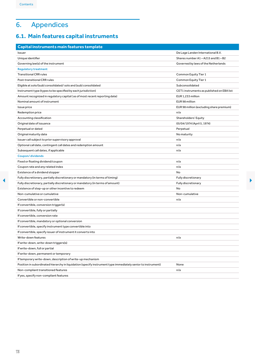# <span id="page-17-0"></span>6. Appendices

# <span id="page-17-1"></span>**6.1. Main features capital instruments**

| Unique identifier<br>Governing law(s) of the instrument                                                      | Shares number A1-A215 and B1-B2           |
|--------------------------------------------------------------------------------------------------------------|-------------------------------------------|
|                                                                                                              |                                           |
|                                                                                                              | Governed by laws of the Netherlands       |
| <b>Regulatory treatment</b>                                                                                  |                                           |
| <b>Transitional CRR rules</b>                                                                                | Common Equity Tier 1                      |
| Post-transitional CRR rules                                                                                  | Common Equity Tier 1                      |
| Eligible at solo/(sub) consolidated/solo and (sub) consolidated                                              | Subconsolidated                           |
| Instrument type (types to be specified by each jurisdiction)                                                 | CET1 instruments as published on EBA list |
| Amount recognized in regulatory capital (as of most recent reporting date)                                   | EUR 1,233 million                         |
| Nominal amount of instrument                                                                                 | EUR 98 million                            |
| Issue price                                                                                                  | EUR 98 million (excluding share premium)  |
| Redemption price                                                                                             | n/a                                       |
| Accounting classification                                                                                    | Shareholders' Equity                      |
| Original date of issuance                                                                                    | 05/04/1974 (April 5, 1974)                |
| Perpetual or dated                                                                                           | Perpetual                                 |
| Original maturity date                                                                                       | No maturity                               |
| Issuer call subject to prior supervisory approval                                                            | n/a                                       |
| Optional call date, contingent call dates and redemption amount                                              | n/a                                       |
| Subsequent call dates, if applicable                                                                         | n/a                                       |
| <b>Coupon/dividends</b>                                                                                      |                                           |
| Fixed or floating dividend/coupon                                                                            | n/a                                       |
| Coupon rate and any related index                                                                            | n/a                                       |
| Existence of a dividend stopper                                                                              | No                                        |
| Fully discretionary, partially discretionary or mandatory (in terms of timing)                               | <b>Fully discretionary</b>                |
| Fully discretionary, partially discretionary or mandatory (in terms of amount)                               | <b>Fully discretionary</b>                |
| Existence of step-up or other incentive to redeem                                                            | No                                        |
| Non-cumulative or cumulative                                                                                 | Non-cumulative                            |
| Convertible or non-convertible                                                                               | n/a                                       |
| If convertible, conversion trigger(s)                                                                        |                                           |
| If convertible, fully or partially                                                                           |                                           |
| If convertible, conversion rate                                                                              |                                           |
| If convertible, mandatory or optional conversion                                                             |                                           |
| If convertible, specify instrument type convertible into                                                     |                                           |
| If convertible, specify issuer of instrument it converts into                                                |                                           |
| Write-down features                                                                                          | n/a                                       |
| If write-down, write-down triggers(s)                                                                        |                                           |
| If write-down, full or partial                                                                               |                                           |
| If write-down, permanent or temporary                                                                        |                                           |
| If temporary write-down, description of write-up mechanism                                                   |                                           |
| Position in subordinated hierarchy in liquidation (specify instrument type immediately senior to instrument) | None                                      |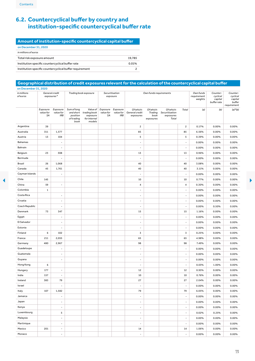# <span id="page-18-1"></span><span id="page-18-0"></span>**6.2. Countercyclical buffer by country and institution-specific countercyclical bufferrate**

#### **Amount of institution-specific countercyclical capital buffer** on December 31, 2020 *in millions of euros* Total risk exposure amount 19,785 Institution specific countercyclical buffer rate 0.01% Institution specific countercyclical buffer requirement 2

#### **Geographical distribution of credit exposures relevant for the calculation of the countercyclical capital buffer**

| in millions<br>ofeuros | General credit<br>exposures* |                              |                                               | Trading book exposure                                                    | Securitisation<br>exposure |                                              | Own funds requirements                   |                                |                                                           |                          | Own funds<br>requirement<br>weights | Counter-<br>cyclical<br>capital<br>buffer rate | Counter-<br>cyclical<br>capital<br>buffer<br>requirement |
|------------------------|------------------------------|------------------------------|-----------------------------------------------|--------------------------------------------------------------------------|----------------------------|----------------------------------------------|------------------------------------------|--------------------------------|-----------------------------------------------------------|--------------------------|-------------------------------------|------------------------------------------------|----------------------------------------------------------|
|                        | Exposure<br>value for<br>SA  | Exposure<br>value for<br>IRB | Sum of long<br>position<br>of trading<br>book | Value of<br>and short trading book<br>exposure<br>for internal<br>models | value for<br>SA            | Exposure Exposure<br>value for<br><b>IRB</b> | Of which:<br>General credit<br>exposures | Of which:<br>book<br>exposures | Of which:<br>Trading Securitisation<br>exposures<br>Total | Total                    | (a)                                 | (b)                                            | $(a)*(b)$                                                |
| Argentina              | 39                           |                              |                                               |                                                                          |                            |                                              | $\overline{c}$                           |                                |                                                           | $\mathbf{2}$             | 0.17%                               | $0.00\%$                                       | 0.00%                                                    |
| Australia              | 311                          | 1,577                        |                                               |                                                                          |                            |                                              | 85                                       |                                |                                                           | 85                       | 6.56%                               | 0.00%                                          | 0.00%                                                    |
| Austria                | 13                           | 104                          |                                               |                                                                          |                            |                                              | 5                                        |                                |                                                           | 5                        | 0.39%                               | 0.00%                                          | 0.00%                                                    |
| Bahamas                |                              | $\overline{\phantom{a}}$     |                                               |                                                                          |                            |                                              | $\overline{\phantom{a}}$                 |                                |                                                           | $\overline{\phantom{a}}$ | 0.00%                               | 0.00%                                          | 0.00%                                                    |
| Bahrain                |                              | $\overline{\phantom{a}}$     |                                               |                                                                          |                            |                                              | $\overline{\phantom{a}}$                 |                                |                                                           | $\overline{\phantom{a}}$ | 0.00%                               | 0.00%                                          | 0.00%                                                    |
| Belgium                | 23                           | 308                          |                                               |                                                                          |                            |                                              | 13                                       |                                |                                                           | 13                       | 0.96%                               | 0.00%                                          | 0.00%                                                    |
| Bermuda                |                              | $\overline{\phantom{a}}$     |                                               |                                                                          |                            |                                              | $\overline{\phantom{a}}$                 |                                |                                                           | $\overline{\phantom{a}}$ | 0.00%                               | 0.00%                                          | 0.00%                                                    |
| Brazil                 | 26                           | 1,068                        |                                               |                                                                          |                            |                                              | 40                                       |                                |                                                           | 40                       | 3.08%                               | 0.00%                                          | 0.00%                                                    |
| Canada                 | 45                           | 1,761                        |                                               |                                                                          |                            |                                              | 40                                       |                                |                                                           | 40                       | 3.11%                               | 0.00%                                          | 0.00%                                                    |
| Cayman Islands         |                              | $\overline{\phantom{a}}$     |                                               |                                                                          |                            |                                              | $\overline{\phantom{a}}$                 |                                |                                                           | $\overline{\phantom{a}}$ | 0.00%                               | 0.00%                                          | 0.00%                                                    |
| Chile                  | 145                          |                              |                                               |                                                                          |                            |                                              | 10                                       |                                |                                                           | 10                       | 0.77%                               | 0.00%                                          | 0.00%                                                    |
| China                  | 59                           | $\overline{\phantom{a}}$     |                                               |                                                                          |                            |                                              | $\overline{a}$                           |                                |                                                           | $\pmb{4}$                | 0.30%                               | 0.00%                                          | 0.00%                                                    |
| Colombia               | $\mathbf{1}$                 |                              |                                               |                                                                          |                            |                                              | $\overline{\phantom{a}}$                 |                                |                                                           | $\overline{\phantom{a}}$ | 0.00%                               | 0.00%                                          | 0.00%                                                    |
| Costa Rica             |                              | $\overline{\phantom{a}}$     |                                               |                                                                          |                            |                                              | $\overline{\phantom{a}}$                 |                                |                                                           | $\overline{\phantom{a}}$ | 0.00%                               | 0.00%                                          | 0.00%                                                    |
| Croatia                |                              | $\overline{\phantom{a}}$     |                                               |                                                                          |                            |                                              | $\overline{\phantom{a}}$                 |                                |                                                           | $\overline{\phantom{a}}$ | 0.00%                               | 0.00%                                          | 0.00%                                                    |
| Czech Republic         |                              | $\overline{\phantom{a}}$     |                                               |                                                                          |                            |                                              | $\overline{\phantom{a}}$                 |                                |                                                           | $\overline{\phantom{a}}$ | 0.00%                               | 0.50%                                          | 0.00%                                                    |
| Denmark                | 73                           | 347                          |                                               |                                                                          |                            |                                              | 15                                       |                                |                                                           | 15                       | 1.16%                               | 0.00%                                          | 0.00%                                                    |
| Egypt                  |                              | $\overline{\phantom{a}}$     |                                               |                                                                          |                            |                                              | $\overline{\phantom{a}}$                 |                                |                                                           | $\overline{\phantom{a}}$ | 0.00%                               | 0.00%                                          | 0.00%                                                    |
| El Salvador            |                              | $\overline{\phantom{a}}$     |                                               |                                                                          |                            |                                              | $\Box$                                   |                                |                                                           | $\overline{\phantom{a}}$ | 0.00%                               | 0.00%                                          | 0.00%                                                    |
| Estonia                |                              | $\overline{\phantom{a}}$     |                                               |                                                                          |                            |                                              | $\overline{\phantom{a}}$                 |                                |                                                           | $\overline{\phantom{a}}$ | 0.00%                               | 0.00%                                          | 0.00%                                                    |
| Finland                | 6                            | 102                          |                                               |                                                                          |                            |                                              | 3                                        |                                |                                                           | 3                        | 0.25%                               | 0.00%                                          | 0.00%                                                    |
| France                 | 211                          | 2,055                        |                                               |                                                                          |                            |                                              | 65                                       |                                |                                                           | 65                       | 4.98%                               | 0.00%                                          | 0.00%                                                    |
| Germany                | 480                          | 2,967                        |                                               |                                                                          |                            |                                              | 98                                       |                                |                                                           | 98                       | 7.49%                               | 0.00%                                          | 0.00%                                                    |
| Guadeloupe             |                              | $\overline{\phantom{a}}$     |                                               |                                                                          |                            |                                              | $\overline{\phantom{a}}$                 |                                |                                                           | $\overline{\phantom{a}}$ | 0.00%                               | 0.00%                                          | $0.00\%$                                                 |
| Guatemala              |                              | $\overline{\phantom{a}}$     |                                               |                                                                          |                            |                                              | $\overline{\phantom{a}}$                 |                                |                                                           | $\overline{\phantom{a}}$ | 0.00%                               | 0.00%                                          | 0.00%                                                    |
| Guyana                 |                              | $\overline{\phantom{a}}$     |                                               |                                                                          |                            |                                              | $\overline{\phantom{a}}$                 |                                |                                                           | $\overline{\phantom{a}}$ | 0.00%                               | 0.00%                                          | 0.00%                                                    |
| Hong Kong              | 6                            |                              |                                               |                                                                          |                            |                                              | $\overline{\phantom{a}}$                 |                                |                                                           | $\overline{\phantom{a}}$ | 0.03%                               | 1.00%                                          | 0.00%                                                    |
| Hungary                | 177                          | $\overline{\phantom{a}}$     |                                               |                                                                          |                            |                                              | 12                                       |                                |                                                           | 12                       | 0.95%                               | 0.00%                                          | 0.00%                                                    |
| India                  | 157                          | $\overline{\phantom{a}}$     |                                               |                                                                          |                            |                                              | 10                                       |                                |                                                           | 10                       | 0.76%                               | 0.00%                                          | 0.00%                                                    |
| Ireland                | 383                          | 79                           |                                               |                                                                          |                            |                                              | 27                                       |                                |                                                           | 27                       | 2.04%                               | 0.00%                                          | 0.00%                                                    |
| Israel                 |                              | $\blacksquare$               |                                               |                                                                          |                            |                                              | $\overline{\phantom{a}}$                 |                                |                                                           | $\overline{\phantom{a}}$ | 0.00%                               | 0.00%                                          | 0.00%                                                    |
| Italy                  | 107                          | 1,582                        |                                               |                                                                          |                            |                                              | 79                                       |                                |                                                           | 79                       | 6.05%                               | 0.00%                                          | 0.00%                                                    |
| Jamaica                |                              | $\overline{\phantom{a}}$     |                                               |                                                                          |                            |                                              | $\overline{\phantom{a}}$                 |                                |                                                           | $\overline{\phantom{a}}$ | 0.00%                               | 0.00%                                          | 0.00%                                                    |
| Japan                  |                              | $\overline{\phantom{a}}$     |                                               |                                                                          |                            |                                              | $\blacksquare$                           |                                |                                                           | $\overline{\phantom{a}}$ | 0.00%                               | 0.00%                                          | 0.00%                                                    |
| Kenya                  |                              | $\overline{\phantom{a}}$     |                                               |                                                                          |                            |                                              | $\overline{\phantom{a}}$                 |                                |                                                           | $\overline{\phantom{a}}$ | 0.00%                               | 0.00%                                          | 0.00%                                                    |
| Luxembourg             |                              | ${\mathbf 5}$                |                                               |                                                                          |                            |                                              | $\overline{\phantom{a}}$                 |                                |                                                           | $\overline{\phantom{a}}$ | 0.02%                               | 0.25%                                          | 0.00%                                                    |
| Malaysia               |                              | $\overline{\phantom{a}}$     |                                               |                                                                          |                            |                                              | $\overline{\phantom{a}}$                 |                                |                                                           | $\blacksquare$           | 0.00%                               | 0.00%                                          | 0.00%                                                    |
| Martinique             |                              | $\overline{a}$               |                                               |                                                                          |                            |                                              | $\overline{\phantom{a}}$                 |                                |                                                           | $\overline{\phantom{a}}$ | 0.00%                               | 0.00%                                          | 0.00%                                                    |
| Mexico                 | 201                          | $\overline{\phantom{a}}$     |                                               |                                                                          |                            |                                              | 14                                       |                                |                                                           | 14                       | 1.06%                               | 0.00%                                          | 0.00%                                                    |
| Monaco                 |                              | $\mathbb{Z}^2$               |                                               |                                                                          |                            |                                              | $\mathbb{Z}^2$                           |                                |                                                           | $\sim$                   | 0.00%                               | 0.00%                                          | 0.00%                                                    |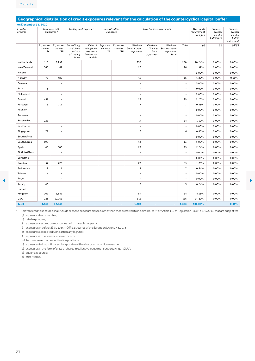<span id="page-19-0"></span>

| in millions<br>ofeuros | General credit<br>exposures* |                                     | Trading book exposure                         |                                                                                 | Securitisation<br>exposure |                                              |                                          | Own funds requirements                    |                                                   | Own funds<br>requirement<br>weights | Counter-<br>cyclical<br>capital<br>buffer rate | Counter-<br>cyclical<br>capital<br>buffer<br>requirement |           |
|------------------------|------------------------------|-------------------------------------|-----------------------------------------------|---------------------------------------------------------------------------------|----------------------------|----------------------------------------------|------------------------------------------|-------------------------------------------|---------------------------------------------------|-------------------------------------|------------------------------------------------|----------------------------------------------------------|-----------|
|                        | Exposure<br>value for<br>SA  | Exposure<br>value for<br><b>IRB</b> | Sum of long<br>position<br>of trading<br>book | Value of<br>and short trading book<br>exposure<br><i>for internal</i><br>models | value for<br>SA            | Exposure Exposure<br>value for<br><b>IRB</b> | Of which:<br>General credit<br>exposures | Of which:<br>Trading<br>book<br>exposures | Of which:<br>Securitisation<br>exposures<br>Total | Total                               | (a)                                            | (b)                                                      | $(a)*(b)$ |
| Netherlands            | 118                          | 5,292                               |                                               |                                                                                 |                            |                                              | 238                                      |                                           |                                                   | 238                                 | 18.24%                                         | 0.00%                                                    | 0.00%     |
| New Zealand            | 366                          | 67                                  |                                               |                                                                                 |                            |                                              | 26                                       |                                           |                                                   | 26                                  | 1.97%                                          | 0.00%                                                    | 0.00%     |
| Nigeria                |                              | $\overline{\phantom{a}}$            |                                               |                                                                                 |                            |                                              | $\overline{\phantom{a}}$                 |                                           |                                                   | $\overline{a}$                      | 0.00%                                          | 0.00%                                                    | 0.00%     |
| Norway                 | 72                           | 482                                 |                                               |                                                                                 |                            |                                              | 16                                       |                                           |                                                   | 16                                  | 1.22%                                          | 1.00%                                                    | 0.01%     |
| Panama                 |                              | $\overline{a}$                      |                                               |                                                                                 |                            |                                              | $\overline{\phantom{a}}$                 |                                           |                                                   | $\overline{a}$                      | 0.00%                                          | 0.00%                                                    | 0.00%     |
| Peru                   | $\mathbf 3$                  |                                     |                                               |                                                                                 |                            |                                              | $\overline{\phantom{a}}$                 |                                           |                                                   | $\overline{\phantom{a}}$            | 0.02%                                          | 0.00%                                                    | 0.00%     |
| Philippines            |                              | $\overline{\phantom{a}}$            |                                               |                                                                                 |                            |                                              | $\overline{\phantom{a}}$                 |                                           |                                                   | $\overline{\phantom{a}}$            | 0.00%                                          | 0.00%                                                    | 0.00%     |
| Poland                 | 441                          | $\overline{\phantom{a}}$            |                                               |                                                                                 |                            |                                              | 29                                       |                                           |                                                   | 29                                  | 2.25%                                          | 0.00%                                                    | 0.00%     |
| Portugal               | 5                            | 112                                 |                                               |                                                                                 |                            |                                              | $\overline{7}$                           |                                           |                                                   | $\overline{7}$                      | 0.53%                                          | 0.00%                                                    | 0.00%     |
| Réunion                |                              | $\overline{a}$                      |                                               |                                                                                 |                            |                                              | $\blacksquare$                           |                                           |                                                   | $\blacksquare$                      | 0.00%                                          | 0.00%                                                    | 0.00%     |
| Romania                |                              |                                     |                                               |                                                                                 |                            |                                              | $\sim$                                   |                                           |                                                   | $\overline{\phantom{a}}$            | 0.00%                                          | 0.00%                                                    | 0.00%     |
| Russian Fed.           | 225                          |                                     |                                               |                                                                                 |                            |                                              | 14                                       |                                           |                                                   | 14                                  | 1.10%                                          | 0.00%                                                    | 0.00%     |
| San Marino             |                              | $\overline{a}$                      |                                               |                                                                                 |                            |                                              | $\overline{\phantom{a}}$                 |                                           |                                                   | $\overline{a}$                      | 0.00%                                          | 0.00%                                                    | 0.00%     |
| Singapore              | 77                           | $\overline{\phantom{a}}$            |                                               |                                                                                 |                            |                                              | 6                                        |                                           |                                                   | 6                                   | 0.43%                                          | 0.00%                                                    | 0.00%     |
| South Africa           |                              |                                     |                                               |                                                                                 |                            |                                              | $\sim$                                   |                                           |                                                   | ÷                                   | 0.00%                                          | 0.00%                                                    | 0.00%     |
| South Korea            | 198                          | $\overline{\phantom{a}}$            |                                               |                                                                                 |                            |                                              | 13                                       |                                           |                                                   | 13                                  | 1.00%                                          | 0.00%                                                    | 0.00%     |
| Spain                  | 48                           | 806                                 |                                               |                                                                                 |                            |                                              | 29                                       |                                           |                                                   | 29                                  | 2.24%                                          | 0.00%                                                    | 0.00%     |
| St Kitts&Nevis         |                              | $\overline{\phantom{a}}$            |                                               |                                                                                 |                            |                                              | $\overline{\phantom{a}}$                 |                                           |                                                   | $\overline{\phantom{a}}$            | 0.00%                                          | 0.00%                                                    | 0.00%     |
| Suriname               |                              | $\overline{a}$                      |                                               |                                                                                 |                            |                                              | $\sim$                                   |                                           |                                                   | $\overline{a}$                      | 0.00%                                          | 0.00%                                                    | 0.00%     |
| Sweden                 | 57                           | 723                                 |                                               |                                                                                 |                            |                                              | 23                                       |                                           |                                                   | 23                                  | 1.75%                                          | 0.00%                                                    | 0.00%     |
| Switzerland            | 112                          | $\mathbf 1$                         |                                               |                                                                                 |                            |                                              | $\overline{7}$                           |                                           |                                                   | $\overline{7}$                      | 0.54%                                          | 0.00%                                                    | 0.00%     |
| Taiwan                 | $\overline{\phantom{a}}$     | $\overline{\phantom{a}}$            |                                               |                                                                                 |                            |                                              | $\overline{\phantom{a}}$                 |                                           |                                                   | $\overline{\phantom{a}}$            | 0.00%                                          | 0.00%                                                    | 0.00%     |
| Togo                   |                              | $\sim$                              |                                               |                                                                                 |                            |                                              | $\sim$                                   |                                           |                                                   | $\overline{\phantom{a}}$            | 0.00%                                          | 0.00%                                                    | 0.00%     |
| Turkey                 | 40                           |                                     |                                               |                                                                                 |                            |                                              | $\overline{3}$                           |                                           |                                                   | 3                                   | 0.24%                                          | 0.00%                                                    | 0.00%     |
| United<br>Kingdom      | 202                          | 1,842                               |                                               |                                                                                 |                            |                                              | 54                                       |                                           |                                                   | 54                                  | 4.13%                                          | 0.00%                                                    | 0.00%     |
| <b>USA</b>             | 223                          | 10,765                              |                                               |                                                                                 |                            |                                              | 316                                      |                                           |                                                   | 316                                 | 24.22%                                         | 0.00%                                                    | 0.00%     |
| <b>Total</b>           | 4,650                        | 32,045                              | $\sim$                                        | ÷                                                                               | ۰                          | $\sim$                                       | 1,303                                    |                                           | ٠                                                 | 1,303                               | 100.00%                                        |                                                          | 0.01%     |

# **Geographical distribution of credit exposures relevant for the calculation of the countercyclical capital buffer**

\* Relevant credit exposures shall include allthose exposure classes,otherthan those referred toin points (a)to(f)ofArticle 112ofRegulation (EU)No575/2013,that are subjectto: (g) exposures tocorporates;

(h) retail exposures;

(i) exposures secured bymortgageson immovable property;

(j) exposures in default;ENL 176/74Official Journalofthe EuropeanUnion 27.6.2013

(k) exposures associatedwith particularly high risk;

(l) exposures in the formof covered bonds;

(m) items representing securitisation positions;

(n) exposures to institutions and corporates with a short-term credit assessment;

(o) exposures in the form of units or shares in collective investment undertakings ('CIUs');

(p) equity exposures;

(q) other items.